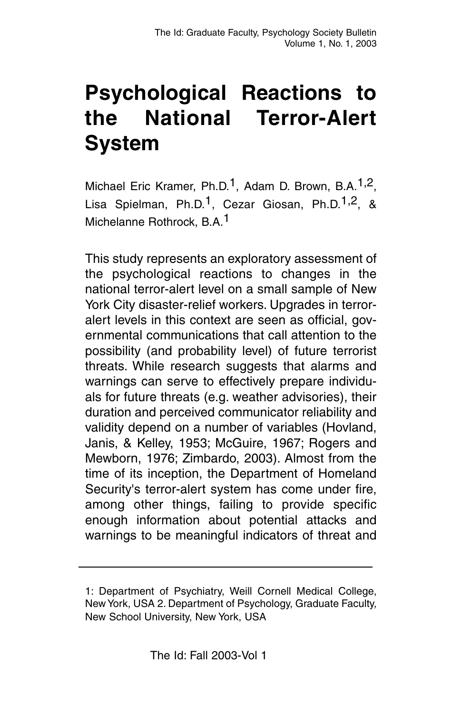## **Psychological Reactions to the National Terror-Alert System**

Michael Eric Kramer, Ph.D.<sup>1</sup>, Adam D. Brown, B.A.<sup>1,2</sup>, Lisa Spielman, Ph.D.<sup>1</sup>, Cezar Giosan, Ph.D.<sup>1,2</sup>, & Michelanne Rothrock, B.A.1

This study represents an exploratory assessment of the psychological reactions to changes in the national terror-alert level on a small sample of New York City disaster-relief workers. Upgrades in terroralert levels in this context are seen as official, governmental communications that call attention to the possibility (and probability level) of future terrorist threats. While research suggests that alarms and warnings can serve to effectively prepare individuals for future threats (e.g. weather advisories), their duration and perceived communicator reliability and validity depend on a number of variables (Hovland, Janis, & Kelley, 1953; McGuire, 1967; Rogers and Mewborn, 1976; Zimbardo, 2003). Almost from the time of its inception, the Department of Homeland Security's terror-alert system has come under fire, among other things, failing to provide specific enough information about potential attacks and warnings to be meaningful indicators of threat and

<sup>1:</sup> Department of Psychiatry, Weill Cornell Medical College, New York, USA 2. Department of Psychology, Graduate Faculty, New School University, New York, USA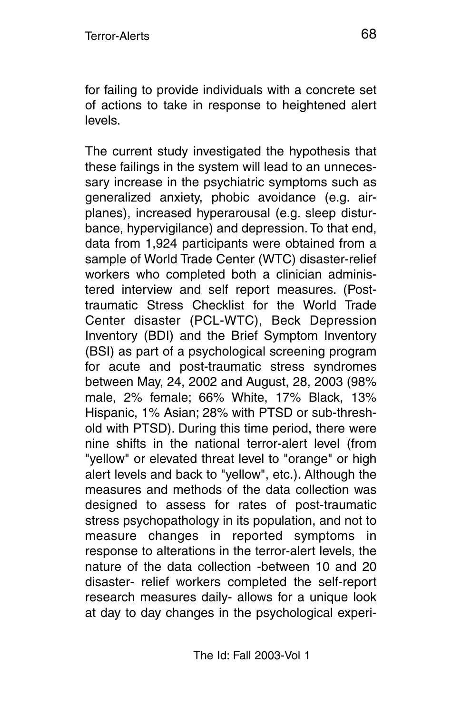for failing to provide individuals with a concrete set of actions to take in response to heightened alert levels.

The current study investigated the hypothesis that these failings in the system will lead to an unnecessary increase in the psychiatric symptoms such as generalized anxiety, phobic avoidance (e.g. airplanes), increased hyperarousal (e.g. sleep disturbance, hypervigilance) and depression. To that end, data from 1,924 participants were obtained from a sample of World Trade Center (WTC) disaster-relief workers who completed both a clinician administered interview and self report measures. (Posttraumatic Stress Checklist for the World Trade Center disaster (PCL-WTC), Beck Depression Inventory (BDI) and the Brief Symptom Inventory (BSI) as part of a psychological screening program for acute and post-traumatic stress syndromes between May, 24, 2002 and August, 28, 2003 (98% male, 2% female; 66% White, 17% Black, 13% Hispanic, 1% Asian; 28% with PTSD or sub-threshold with PTSD). During this time period, there were nine shifts in the national terror-alert level (from "yellow" or elevated threat level to "orange" or high alert levels and back to "yellow", etc.). Although the measures and methods of the data collection was designed to assess for rates of post-traumatic stress psychopathology in its population, and not to measure changes in reported symptoms in response to alterations in the terror-alert levels, the nature of the data collection -between 10 and 20 disaster- relief workers completed the self-report research measures daily- allows for a unique look at day to day changes in the psychological experi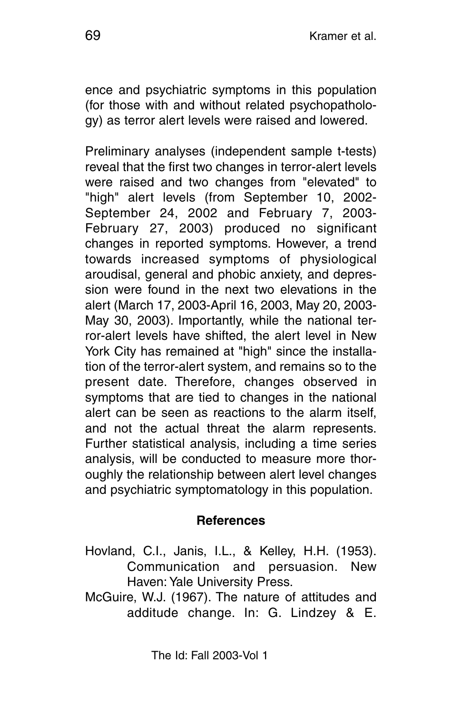ence and psychiatric symptoms in this population (for those with and without related psychopathology) as terror alert levels were raised and lowered.

Preliminary analyses (independent sample t-tests) reveal that the first two changes in terror-alert levels were raised and two changes from "elevated" to "high" alert levels (from September 10, 2002- September 24, 2002 and February 7, 2003- February 27, 2003) produced no significant changes in reported symptoms. However, a trend towards increased symptoms of physiological aroudisal, general and phobic anxiety, and depression were found in the next two elevations in the alert (March 17, 2003-April 16, 2003, May 20, 2003- May 30, 2003). Importantly, while the national terror-alert levels have shifted, the alert level in New York City has remained at "high" since the installation of the terror-alert system, and remains so to the present date. Therefore, changes observed in symptoms that are tied to changes in the national alert can be seen as reactions to the alarm itself, and not the actual threat the alarm represents. Further statistical analysis, including a time series analysis, will be conducted to measure more thoroughly the relationship between alert level changes and psychiatric symptomatology in this population.

## **References**

- Hovland, C.I., Janis, I.L., & Kelley, H.H. (1953). Communication and persuasion. New Haven: Yale University Press.
- McGuire, W.J. (1967). The nature of attitudes and additude change. In: G. Lindzey & E.